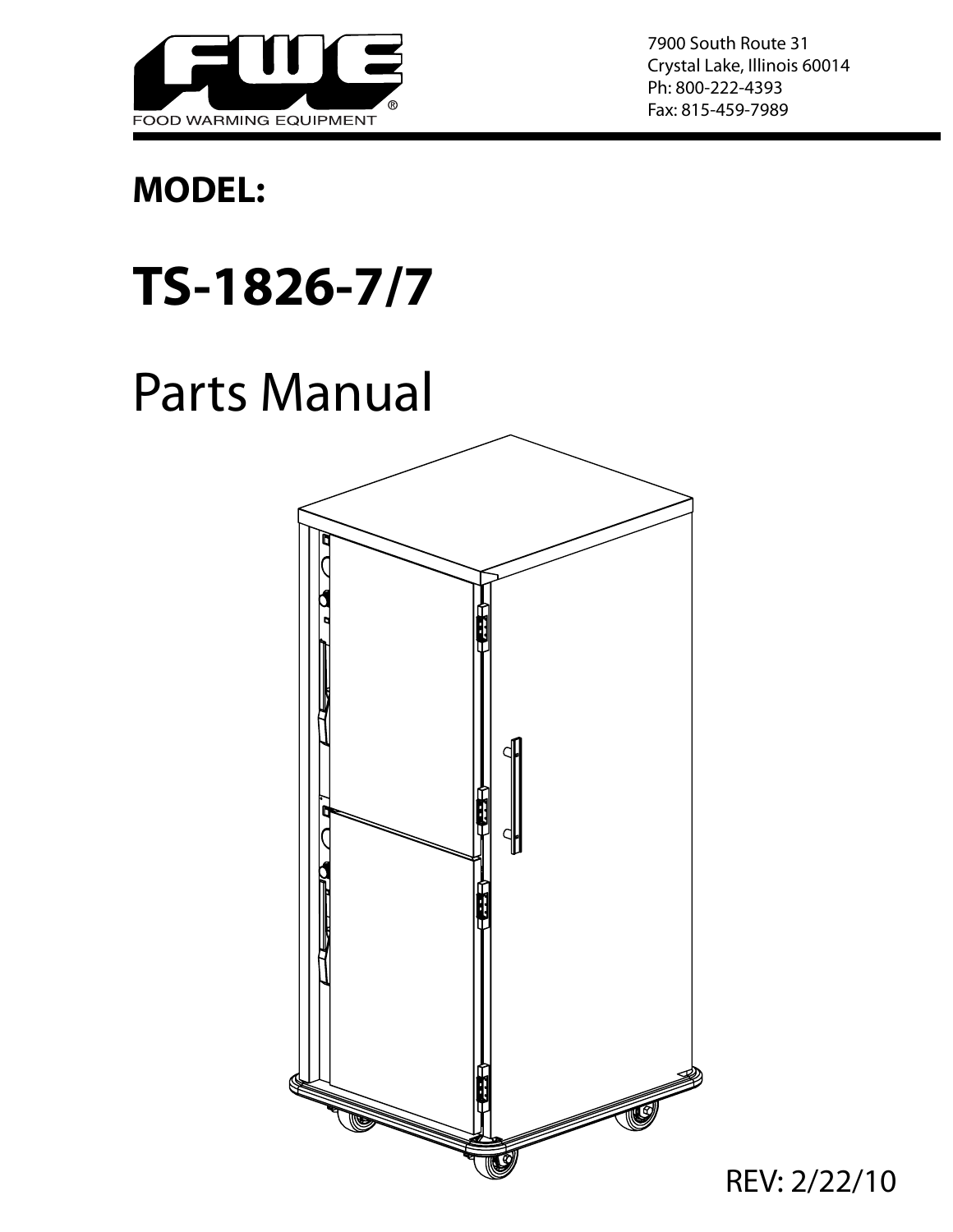

7900 South Route 31 Crystal Lake, Illinois 60014 Ph: 800-222-4393 Fax: 815-459-7989

## **MODEL:**

## **TS-1826-7/7**

## Parts Manual



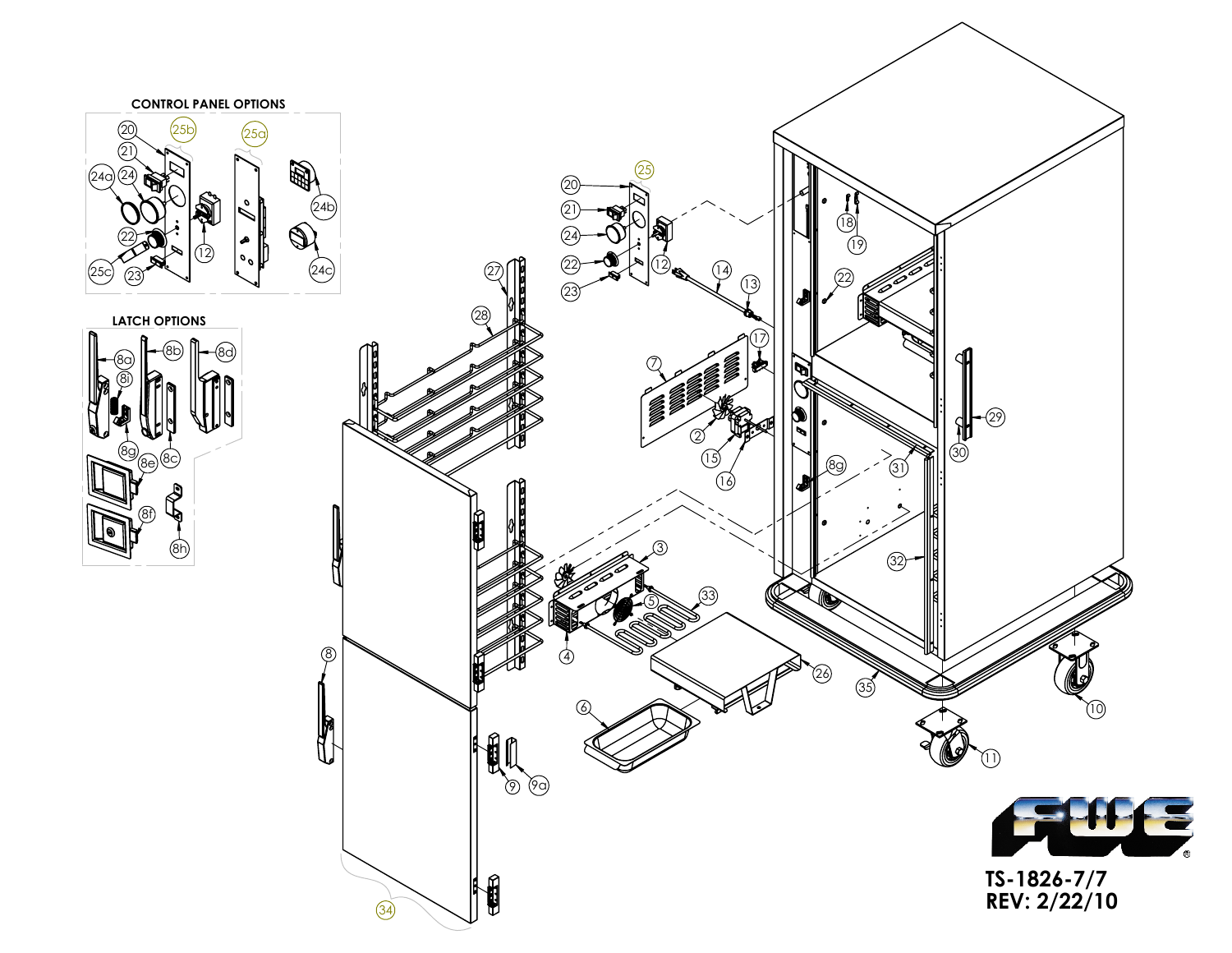